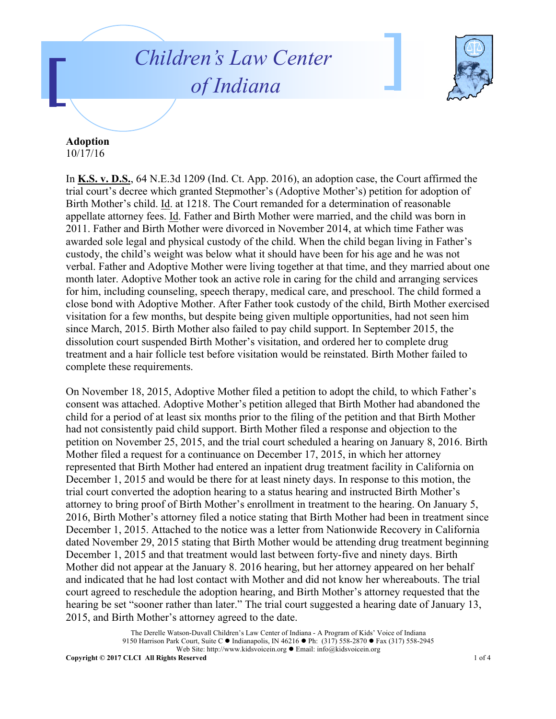## *Children's Law Center of Indiana*



## **Adoption**

10/17/16

In **K.S. v. D.S.**, 64 N.E.3d 1209 (Ind. Ct. App. 2016), an adoption case, the Court affirmed the trial court's decree which granted Stepmother's (Adoptive Mother's) petition for adoption of Birth Mother's child. Id. at 1218. The Court remanded for a determination of reasonable appellate attorney fees. Id. Father and Birth Mother were married, and the child was born in 2011. Father and Birth Mother were divorced in November 2014, at which time Father was awarded sole legal and physical custody of the child. When the child began living in Father's custody, the child's weight was below what it should have been for his age and he was not verbal. Father and Adoptive Mother were living together at that time, and they married about one month later. Adoptive Mother took an active role in caring for the child and arranging services for him, including counseling, speech therapy, medical care, and preschool. The child formed a close bond with Adoptive Mother. After Father took custody of the child, Birth Mother exercised visitation for a few months, but despite being given multiple opportunities, had not seen him since March, 2015. Birth Mother also failed to pay child support. In September 2015, the dissolution court suspended Birth Mother's visitation, and ordered her to complete drug treatment and a hair follicle test before visitation would be reinstated. Birth Mother failed to complete these requirements.

On November 18, 2015, Adoptive Mother filed a petition to adopt the child, to which Father's consent was attached. Adoptive Mother's petition alleged that Birth Mother had abandoned the child for a period of at least six months prior to the filing of the petition and that Birth Mother had not consistently paid child support. Birth Mother filed a response and objection to the petition on November 25, 2015, and the trial court scheduled a hearing on January 8, 2016. Birth Mother filed a request for a continuance on December 17, 2015, in which her attorney represented that Birth Mother had entered an inpatient drug treatment facility in California on December 1, 2015 and would be there for at least ninety days. In response to this motion, the trial court converted the adoption hearing to a status hearing and instructed Birth Mother's attorney to bring proof of Birth Mother's enrollment in treatment to the hearing. On January 5, 2016, Birth Mother's attorney filed a notice stating that Birth Mother had been in treatment since December 1, 2015. Attached to the notice was a letter from Nationwide Recovery in California dated November 29, 2015 stating that Birth Mother would be attending drug treatment beginning December 1, 2015 and that treatment would last between forty-five and ninety days. Birth Mother did not appear at the January 8. 2016 hearing, but her attorney appeared on her behalf and indicated that he had lost contact with Mother and did not know her whereabouts. The trial court agreed to reschedule the adoption hearing, and Birth Mother's attorney requested that the hearing be set "sooner rather than later." The trial court suggested a hearing date of January 13, 2015, and Birth Mother's attorney agreed to the date.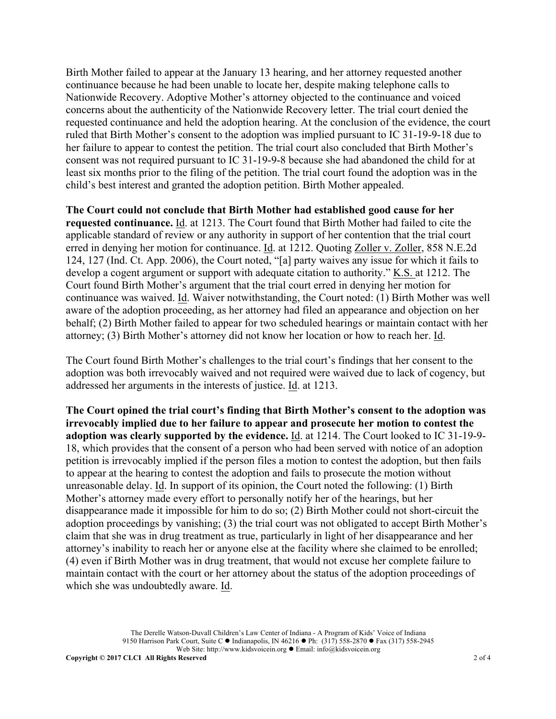Birth Mother failed to appear at the January 13 hearing, and her attorney requested another continuance because he had been unable to locate her, despite making telephone calls to Nationwide Recovery. Adoptive Mother's attorney objected to the continuance and voiced concerns about the authenticity of the Nationwide Recovery letter. The trial court denied the requested continuance and held the adoption hearing. At the conclusion of the evidence, the court ruled that Birth Mother's consent to the adoption was implied pursuant to IC 31-19-9-18 due to her failure to appear to contest the petition. The trial court also concluded that Birth Mother's consent was not required pursuant to IC 31-19-9-8 because she had abandoned the child for at least six months prior to the filing of the petition. The trial court found the adoption was in the child's best interest and granted the adoption petition. Birth Mother appealed.

**The Court could not conclude that Birth Mother had established good cause for her requested continuance.** Id. at 1213. The Court found that Birth Mother had failed to cite the applicable standard of review or any authority in support of her contention that the trial court erred in denying her motion for continuance. Id. at 1212. Quoting Zoller v. Zoller, 858 N.E.2d 124, 127 (Ind. Ct. App. 2006), the Court noted, "[a] party waives any issue for which it fails to develop a cogent argument or support with adequate citation to authority." K.S. at 1212. The Court found Birth Mother's argument that the trial court erred in denying her motion for continuance was waived. Id. Waiver notwithstanding, the Court noted: (1) Birth Mother was well aware of the adoption proceeding, as her attorney had filed an appearance and objection on her behalf; (2) Birth Mother failed to appear for two scheduled hearings or maintain contact with her attorney; (3) Birth Mother's attorney did not know her location or how to reach her. Id.

The Court found Birth Mother's challenges to the trial court's findings that her consent to the adoption was both irrevocably waived and not required were waived due to lack of cogency, but addressed her arguments in the interests of justice. Id. at 1213.

**The Court opined the trial court's finding that Birth Mother's consent to the adoption was irrevocably implied due to her failure to appear and prosecute her motion to contest the adoption was clearly supported by the evidence.** Id. at 1214. The Court looked to IC 31-19-9- 18, which provides that the consent of a person who had been served with notice of an adoption petition is irrevocably implied if the person files a motion to contest the adoption, but then fails to appear at the hearing to contest the adoption and fails to prosecute the motion without unreasonable delay. Id. In support of its opinion, the Court noted the following: (1) Birth Mother's attorney made every effort to personally notify her of the hearings, but her disappearance made it impossible for him to do so; (2) Birth Mother could not short-circuit the adoption proceedings by vanishing; (3) the trial court was not obligated to accept Birth Mother's claim that she was in drug treatment as true, particularly in light of her disappearance and her attorney's inability to reach her or anyone else at the facility where she claimed to be enrolled; (4) even if Birth Mother was in drug treatment, that would not excuse her complete failure to maintain contact with the court or her attorney about the status of the adoption proceedings of which she was undoubtedly aware. Id.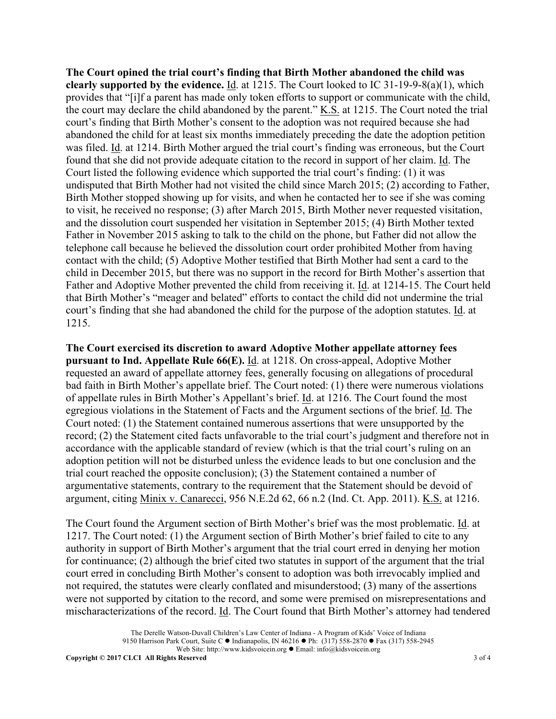**The Court opined the trial court's finding that Birth Mother abandoned the child was clearly supported by the evidence.** Id. at 1215. The Court looked to IC 31-19-9-8(a)(1), which provides that "[i]f a parent has made only token efforts to support or communicate with the child, the court may declare the child abandoned by the parent." <u>K.S.</u> at 1215. The Court noted the trial court's finding that Birth Mother's consent to the adoption was not required because she had abandoned the child for at least six months immediately preceding the date the adoption petition was filed. Id. at 1214. Birth Mother argued the trial court's finding was erroneous, but the Court found that she did not provide adequate citation to the record in support of her claim. Id. The Court listed the following evidence which supported the trial court's finding: (1) it was undisputed that Birth Mother had not visited the child since March 2015; (2) according to Father, Birth Mother stopped showing up for visits, and when he contacted her to see if she was coming to visit, he received no response; (3) after March 2015, Birth Mother never requested visitation, and the dissolution court suspended her visitation in September 2015; (4) Birth Mother texted Father in November 2015 asking to talk to the child on the phone, but Father did not allow the telephone call because he believed the dissolution court order prohibited Mother from having contact with the child; (5) Adoptive Mother testified that Birth Mother had sent a card to the child in December 2015, but there was no support in the record for Birth Mother's assertion that Father and Adoptive Mother prevented the child from receiving it. Id. at 1214-15. The Court held that Birth Mother's "meager and belated" efforts to contact the child did not undermine the trial court's finding that she had abandoned the child for the purpose of the adoption statutes. Id. at 1215.

**The Court exercised its discretion to award Adoptive Mother appellate attorney fees pursuant to Ind. Appellate Rule 66(E).** Id. at 1218. On cross-appeal, Adoptive Mother requested an award of appellate attorney fees, generally focusing on allegations of procedural bad faith in Birth Mother's appellate brief. The Court noted: (1) there were numerous violations of appellate rules in Birth Mother's Appellant's brief. Id. at 1216. The Court found the most egregious violations in the Statement of Facts and the Argument sections of the brief. Id. The Court noted: (1) the Statement contained numerous assertions that were unsupported by the record; (2) the Statement cited facts unfavorable to the trial court's judgment and therefore not in accordance with the applicable standard of review (which is that the trial court's ruling on an adoption petition will not be disturbed unless the evidence leads to but one conclusion and the trial court reached the opposite conclusion); (3) the Statement contained a number of argumentative statements, contrary to the requirement that the Statement should be devoid of argument, citing Minix v. Canarecci, 956 N.E.2d 62, 66 n.2 (Ind. Ct. App. 2011). K.S. at 1216.

The Court found the Argument section of Birth Mother's brief was the most problematic. Id. at 1217. The Court noted: (1) the Argument section of Birth Mother's brief failed to cite to any authority in support of Birth Mother's argument that the trial court erred in denying her motion for continuance; (2) although the brief cited two statutes in support of the argument that the trial court erred in concluding Birth Mother's consent to adoption was both irrevocably implied and not required, the statutes were clearly conflated and misunderstood; (3) many of the assertions were not supported by citation to the record, and some were premised on misrepresentations and mischaracterizations of the record. Id. The Court found that Birth Mother's attorney had tendered